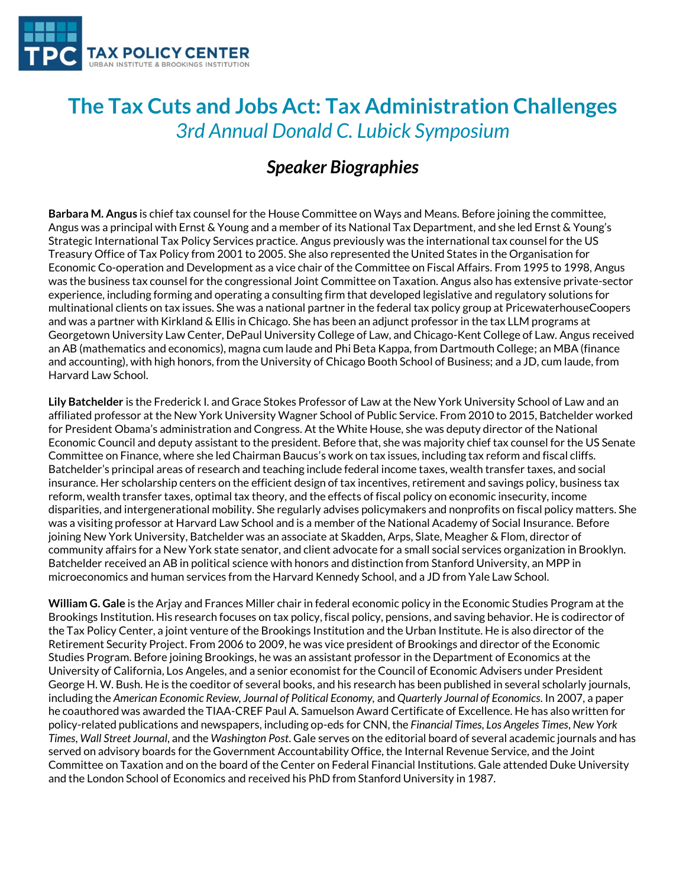

## **The Tax Cuts and Jobs Act: Tax Administration Challenges** *3rd Annual Donald C. Lubick Symposium*

## *Speaker Biographies*

**Barbara M. Angus** is chief tax counsel for the House Committee on Ways and Means. Before joining the committee, Angus was a principal with Ernst & Young and a member of its National Tax Department, and she led Ernst & Young's Strategic International Tax Policy Services practice. Angus previously was the international tax counsel for the US Treasury Office of Tax Policy from 2001 to 2005. She also represented the United States in the Organisation for Economic Co-operation and Development as a vice chair of the Committee on Fiscal Affairs. From 1995 to 1998, Angus was the business tax counsel for the congressional Joint Committee on Taxation. Angus also has extensive private-sector experience, including forming and operating a consulting firm that developed legislative and regulatory solutions for multinational clients on tax issues. She was a national partner in the federal tax policy group at PricewaterhouseCoopers and was a partner with Kirkland & Ellis in Chicago. She has been an adjunct professor in the tax LLM programs at Georgetown University Law Center, DePaul University College of Law, and Chicago-Kent College of Law. Angus received an AB (mathematics and economics), magna cum laude and Phi Beta Kappa, from Dartmouth College; an MBA (finance and accounting), with high honors, from the University of Chicago Booth School of Business; and a JD, cum laude, from Harvard Law School.

**Lily Batchelder** is the Frederick I. and Grace Stokes Professor of Law at the New York University School of Law and an affiliated professor at the New York University Wagner School of Public Service. From 2010 to 2015, Batchelder worked for President Obama's administration and Congress. At the White House, she was deputy director of the National Economic Council and deputy assistant to the president. Before that, she was majority chief tax counsel for the US Senate Committee on Finance, where she led Chairman Baucus's work on tax issues, including tax reform and fiscal cliffs. Batchelder's principal areas of research and teaching include federal income taxes, wealth transfer taxes, and social insurance. Her scholarship centers on the efficient design of tax incentives, retirement and savings policy, business tax reform, wealth transfer taxes, optimal tax theory, and the effects of fiscal policy on economic insecurity, income disparities, and intergenerational mobility. She regularly advises policymakers and nonprofits on fiscal policy matters. She was a visiting professor at Harvard Law School and is a member of the National Academy of Social Insurance. Before joining New York University, Batchelder was an associate at Skadden, Arps, Slate, Meagher & Flom, director of community affairs for a New York state senator, and client advocate for a small social services organization in Brooklyn. Batchelder received an AB in political science with honors and distinction from Stanford University, an MPP in microeconomics and human services from the Harvard Kennedy School, and a JD from Yale Law School.

**William G. Gale** is the Arjay and Frances Miller chair in federal economic policy in the Economic Studies Program at the Brookings Institution. His research focuses on tax policy, fiscal policy, pensions, and saving behavior. He is codirector of the Tax Policy Center, a joint venture of the Brookings Institution and the Urban Institute. He is also director of the Retirement Security Project. From 2006 to 2009, he was vice president of Brookings and director of the Economic Studies Program. Before joining Brookings, he was an assistant professor in the Department of Economics at the University of California, Los Angeles, and a senior economist for the Council of Economic Advisers under President George H. W. Bush. He is the coeditor of several books, and his research has been published in several scholarly journals, including the *American Economic Review, Journal of Political Economy,* and *Quarterly Journal of Economics*. In 2007, a paper he coauthored was awarded the TIAA-CREF Paul A. Samuelson Award Certificate of Excellence. He has also written for policy-related publications and newspapers, including op-eds for CNN, the *Financial Times*, *Los Angeles Times*, *New York Times*, *Wall Street Journal*, and the *Washington Post*. Gale serves on the editorial board of several academic journals and has served on advisory boards for the Government Accountability Office, the Internal Revenue Service, and the Joint Committee on Taxation and on the board of the Center on Federal Financial Institutions. Gale attended Duke University and the London School of Economics and received his PhD from Stanford University in 1987.